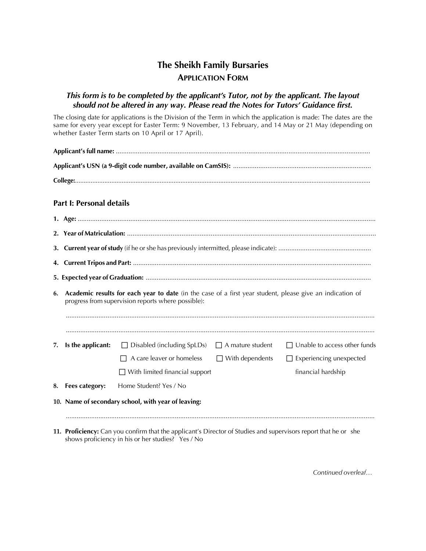# **The Sheikh Family Bursaries APPLICATION FORM**

## *This form is to be completed by the applicant's Tutor, not by the applicant. The layout should not be altered in any way. Please read the Notes for Tutors' Guidance first.*

The closing date for applications is the Division of the Term in which the application is made: The dates are the same for every year except for Easter Term: 9 November, 13 February, and 14 May or 21 May (depending on whether Easter Term starts on 10 April or 17 April).

|    | <b>Part I: Personal details</b>                                                                                                                                 |                                                           |                        |                                     |  |  |
|----|-----------------------------------------------------------------------------------------------------------------------------------------------------------------|-----------------------------------------------------------|------------------------|-------------------------------------|--|--|
|    |                                                                                                                                                                 |                                                           |                        |                                     |  |  |
|    |                                                                                                                                                                 |                                                           |                        |                                     |  |  |
|    |                                                                                                                                                                 |                                                           |                        |                                     |  |  |
|    |                                                                                                                                                                 |                                                           |                        |                                     |  |  |
|    |                                                                                                                                                                 |                                                           |                        |                                     |  |  |
| 6. | Academic results for each year to date (in the case of a first year student, please give an indication of<br>progress from supervision reports where possible): |                                                           |                        |                                     |  |  |
| 7. | Is the applicant:                                                                                                                                               | $\Box$ Disabled (including SpLDs) $\Box$ A mature student |                        | $\Box$ Unable to access other funds |  |  |
|    |                                                                                                                                                                 | A care leaver or homeless                                 | $\Box$ With dependents | $\Box$ Experiencing unexpected      |  |  |
|    |                                                                                                                                                                 | $\Box$ With limited financial support                     |                        | financial hardship                  |  |  |
| 8. | Fees category:                                                                                                                                                  | Home Student? Yes / No                                    |                        |                                     |  |  |
|    |                                                                                                                                                                 | 10. Name of secondary school, with year of leaving:       |                        |                                     |  |  |

**11. Proficiency:** Can you confirm that the applicant's Director of Studies and supervisors report that he or she shows proficiency in his or her studies? Yes / No

*Continued overleaf…*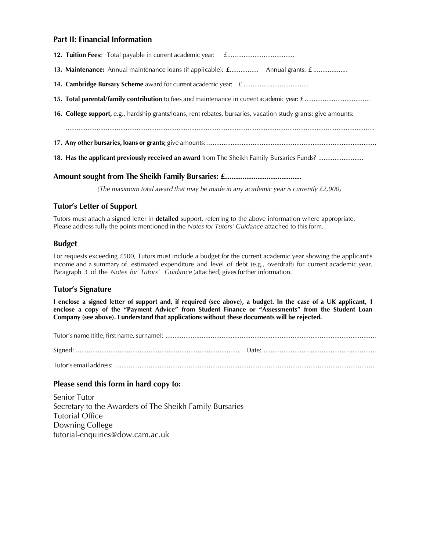#### **Part II: Financial Information**

| 13. Maintenance: Annual maintenance loans (if applicable): <i>f</i> . Annual grants: <i>f</i>                   |  |  |  |  |
|-----------------------------------------------------------------------------------------------------------------|--|--|--|--|
|                                                                                                                 |  |  |  |  |
|                                                                                                                 |  |  |  |  |
| 16. College support, e.g., hardship grants/loans, rent rebates, bursaries, vacation study grants; give amounts: |  |  |  |  |
|                                                                                                                 |  |  |  |  |
|                                                                                                                 |  |  |  |  |
| 18. Has the applicant previously received an award from The Sheikh Family Bursaries Funds?                      |  |  |  |  |

#### **Amount sought from The Sheikh Family Bursaries: £...................................**

*(The maximum total award that may be made in any academic year is currently £2,000)*

#### **Tutor's Letter of Support**

Tutors must attach a signed letter in **detailed** support, referring to the above information where appropriate. Please address fully the points mentioned in the *Notes for Tutors' Guidance* attached to this form.

#### **Budget**

For requests exceeding £500, Tutors must include a budget for the current academic year showing the applicant's income and a summary of estimated expenditure and level of debt (e.g., overdraft) for current academic year. Paragraph 3 of the *Notes for Tutors' Guidance* (attached) gives further information.

#### **Tutor's Signature**

I enclose a signed letter of support and, if required (see above), a budget. In the case of a UK applicant, I **enclose a copy of the "Payment Advice" from Student Finance or "Assessments" from the Student Loan Company (see above). I understand that applications without these documents will be rejected.**

#### **Please send this form in hard copy to:**

Senior Tutor Secretary to the Awarders of The Sheikh Family Bursaries Tutorial Office Downing College tutorial-enquiries@dow.cam.ac.uk